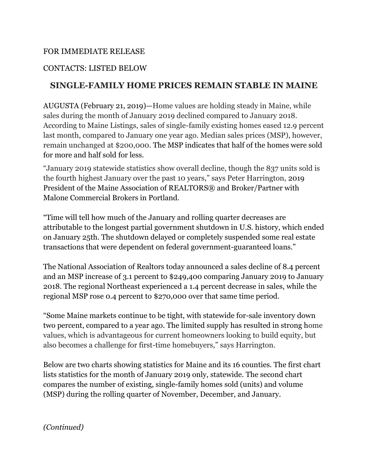## FOR IMMEDIATE RELEASE

# CONTACTS: LISTED BELOW

# **SINGLE-FAMILY HOME PRICES REMAIN STABLE IN MAINE**

AUGUSTA (February 21, 2019)—Home values are holding steady in Maine, while sales during the month of January 2019 declined compared to January 2018. According to Maine Listings, sales of single-family existing homes eased 12.9 percent last month, compared to January one year ago. Median sales prices (MSP), however, remain unchanged at \$200,000. The MSP indicates that half of the homes were sold for more and half sold for less.

"January 2019 statewide statistics show overall decline, though the 837 units sold is the fourth highest January over the past 10 years," says Peter Harrington, 2019 President of the Maine Association of REALTORS® and Broker/Partner with Malone Commercial Brokers in Portland.

"Time will tell how much of the January and rolling quarter decreases are attributable to the longest partial government shutdown in U.S. history, which ended on January 25th. The shutdown delayed or completely suspended some real estate transactions that were dependent on federal government-guaranteed loans."

The National Association of Realtors today announced a sales decline of 8.4 percent and an MSP increase of 3.1 percent to \$249,400 comparing January 2019 to January 2018. The regional Northeast experienced a 1.4 percent decrease in sales, while the regional MSP rose 0.4 percent to \$270,000 over that same time period.

"Some Maine markets continue to be tight, with statewide for-sale inventory down two percent, compared to a year ago. The limited supply has resulted in strong home values, which is advantageous for current homeowners looking to build equity, but also becomes a challenge for first-time homebuyers," says Harrington.

Below are two charts showing statistics for Maine and its 16 counties. The first chart lists statistics for the month of January 2019 only, statewide. The second chart compares the number of existing, single-family homes sold (units) and volume (MSP) during the rolling quarter of November, December, and January.

*(Continued)*